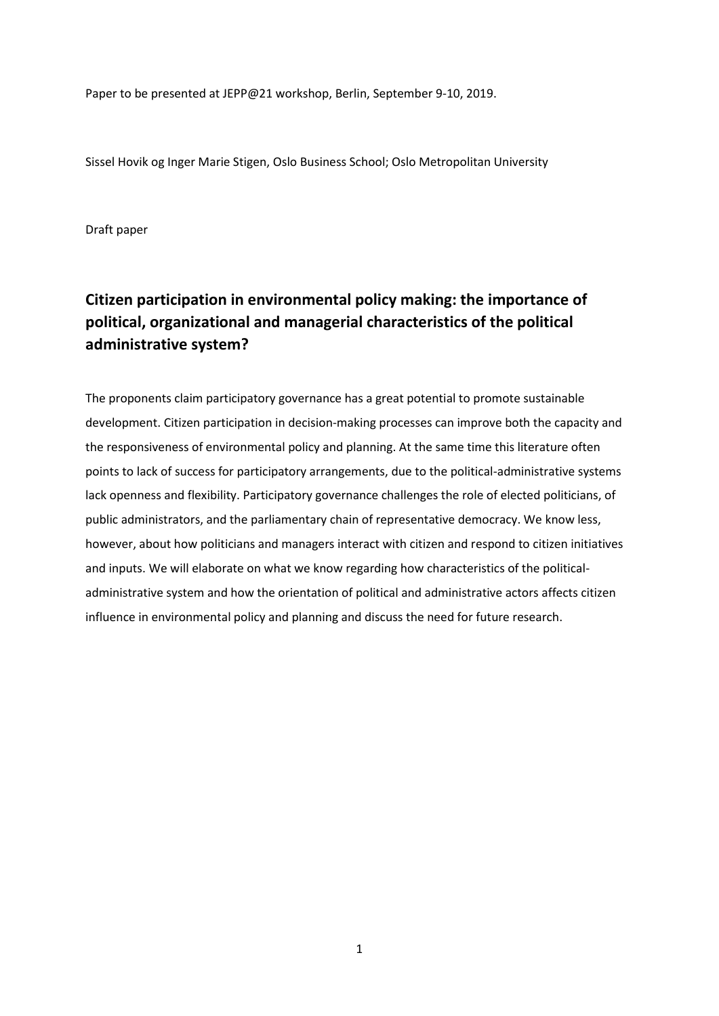Paper to be presented at JEPP@21 workshop, Berlin, September 9-10, 2019.

Sissel Hovik og Inger Marie Stigen, Oslo Business School; Oslo Metropolitan University

Draft paper

# **Citizen participation in environmental policy making: the importance of political, organizational and managerial characteristics of the political administrative system?**

The proponents claim participatory governance has a great potential to promote sustainable development. Citizen participation in decision-making processes can improve both the capacity and the responsiveness of environmental policy and planning. At the same time this literature often points to lack of success for participatory arrangements, due to the political-administrative systems lack openness and flexibility. Participatory governance challenges the role of elected politicians, of public administrators, and the parliamentary chain of representative democracy. We know less, however, about how politicians and managers interact with citizen and respond to citizen initiatives and inputs. We will elaborate on what we know regarding how characteristics of the politicaladministrative system and how the orientation of political and administrative actors affects citizen influence in environmental policy and planning and discuss the need for future research.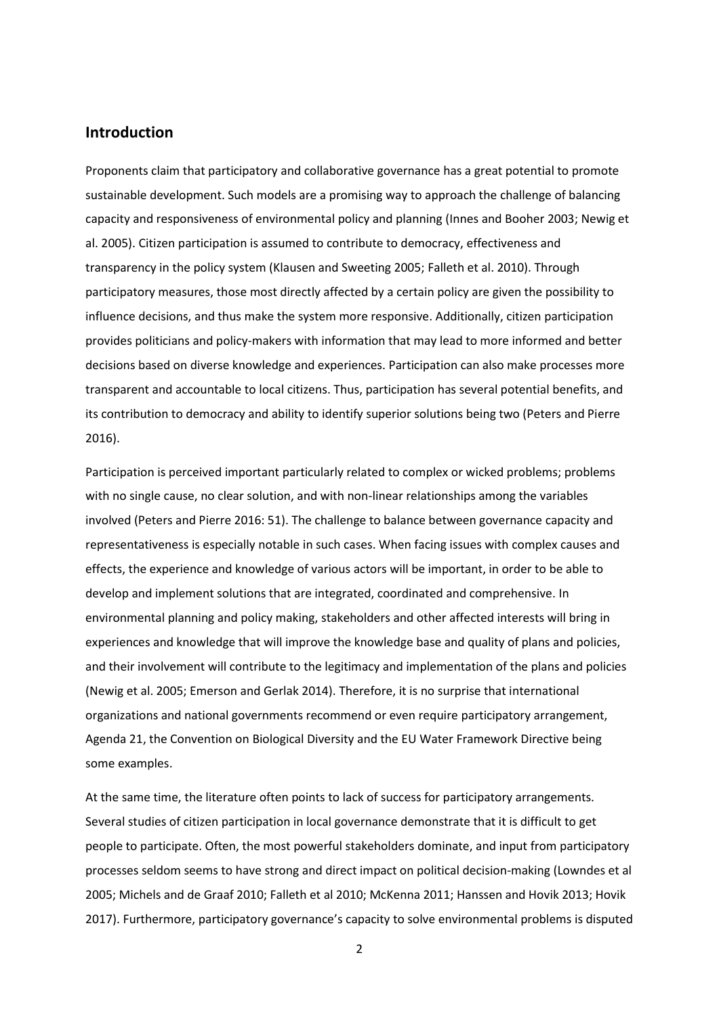### **Introduction**

Proponents claim that participatory and collaborative governance has a great potential to promote sustainable development. Such models are a promising way to approach the challenge of balancing capacity and responsiveness of environmental policy and planning (Innes and Booher 2003; Newig et al. 2005). Citizen participation is assumed to contribute to democracy, effectiveness and transparency in the policy system (Klausen and Sweeting 2005; Falleth et al. 2010). Through participatory measures, those most directly affected by a certain policy are given the possibility to influence decisions, and thus make the system more responsive. Additionally, citizen participation provides politicians and policy-makers with information that may lead to more informed and better decisions based on diverse knowledge and experiences. Participation can also make processes more transparent and accountable to local citizens. Thus, participation has several potential benefits, and its contribution to democracy and ability to identify superior solutions being two (Peters and Pierre 2016).

Participation is perceived important particularly related to complex or wicked problems; problems with no single cause, no clear solution, and with non-linear relationships among the variables involved (Peters and Pierre 2016: 51). The challenge to balance between governance capacity and representativeness is especially notable in such cases. When facing issues with complex causes and effects, the experience and knowledge of various actors will be important, in order to be able to develop and implement solutions that are integrated, coordinated and comprehensive. In environmental planning and policy making, stakeholders and other affected interests will bring in experiences and knowledge that will improve the knowledge base and quality of plans and policies, and their involvement will contribute to the legitimacy and implementation of the plans and policies (Newig et al. 2005; Emerson and Gerlak 2014). Therefore, it is no surprise that international organizations and national governments recommend or even require participatory arrangement, Agenda 21, the Convention on Biological Diversity and the EU Water Framework Directive being some examples.

At the same time, the literature often points to lack of success for participatory arrangements. Several studies of citizen participation in local governance demonstrate that it is difficult to get people to participate. Often, the most powerful stakeholders dominate, and input from participatory processes seldom seems to have strong and direct impact on political decision-making (Lowndes et al 2005; Michels and de Graaf 2010; Falleth et al 2010; McKenna 2011; Hanssen and Hovik 2013; Hovik 2017). Furthermore, participatory governance's capacity to solve environmental problems is disputed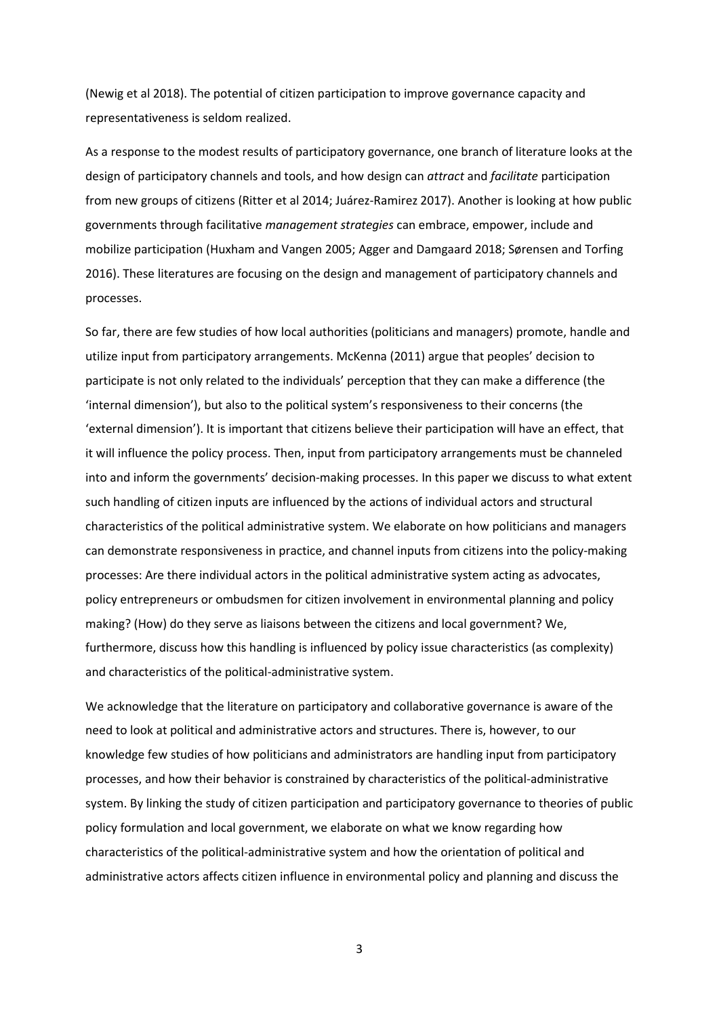(Newig et al 2018). The potential of citizen participation to improve governance capacity and representativeness is seldom realized.

As a response to the modest results of participatory governance, one branch of literature looks at the design of participatory channels and tools, and how design can *attract* and *facilitate* participation from new groups of citizens (Ritter et al 2014; Juárez-Ramirez 2017). Another is looking at how public governments through facilitative *management strategies* can embrace, empower, include and mobilize participation (Huxham and Vangen 2005; Agger and Damgaard 2018; Sørensen and Torfing 2016). These literatures are focusing on the design and management of participatory channels and processes.

So far, there are few studies of how local authorities (politicians and managers) promote, handle and utilize input from participatory arrangements. McKenna (2011) argue that peoples' decision to participate is not only related to the individuals' perception that they can make a difference (the 'internal dimension'), but also to the political system's responsiveness to their concerns (the 'external dimension'). It is important that citizens believe their participation will have an effect, that it will influence the policy process. Then, input from participatory arrangements must be channeled into and inform the governments' decision-making processes. In this paper we discuss to what extent such handling of citizen inputs are influenced by the actions of individual actors and structural characteristics of the political administrative system. We elaborate on how politicians and managers can demonstrate responsiveness in practice, and channel inputs from citizens into the policy-making processes: Are there individual actors in the political administrative system acting as advocates, policy entrepreneurs or ombudsmen for citizen involvement in environmental planning and policy making? (How) do they serve as liaisons between the citizens and local government? We, furthermore, discuss how this handling is influenced by policy issue characteristics (as complexity) and characteristics of the political-administrative system.

We acknowledge that the literature on participatory and collaborative governance is aware of the need to look at political and administrative actors and structures. There is, however, to our knowledge few studies of how politicians and administrators are handling input from participatory processes, and how their behavior is constrained by characteristics of the political-administrative system. By linking the study of citizen participation and participatory governance to theories of public policy formulation and local government, we elaborate on what we know regarding how characteristics of the political-administrative system and how the orientation of political and administrative actors affects citizen influence in environmental policy and planning and discuss the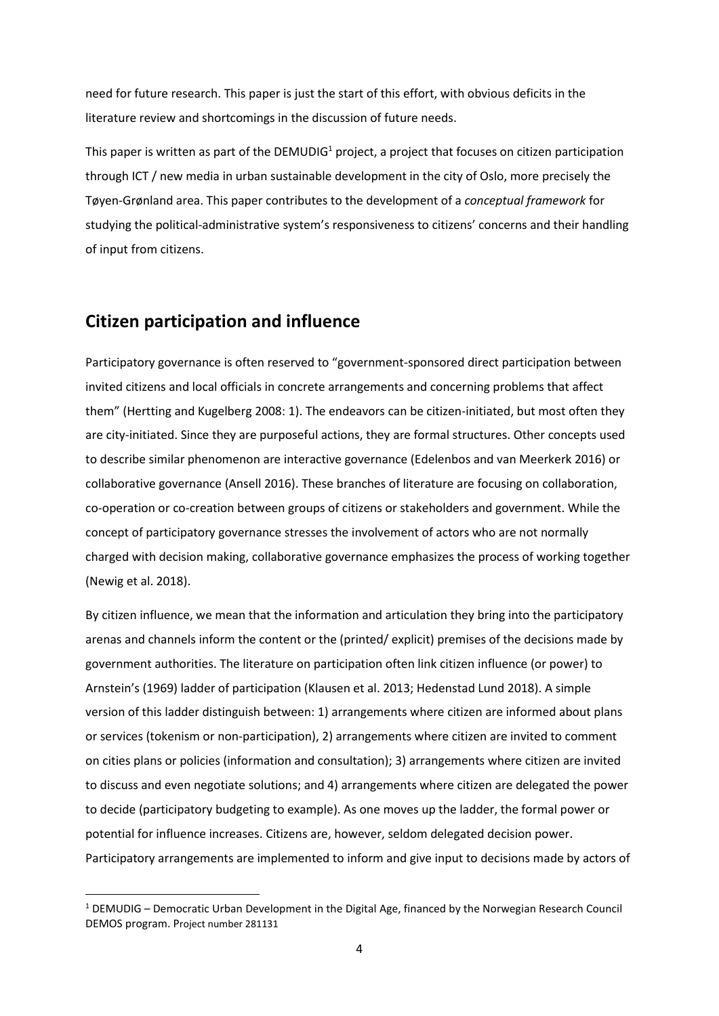need for future research. This paper is just the start of this effort, with obvious deficits in the literature review and shortcomings in the discussion of future needs.

This paper is written as part of the DEMUDIG<sup>1</sup> project, a project that focuses on citizen participation through ICT / new media in urban sustainable development in the city of Oslo, more precisely the Tøyen-Grønland area. This paper contributes to the development of a *conceptual framework* for studying the political-administrative system's responsiveness to citizens' concerns and their handling of input from citizens.

# **Citizen participation and influence**

**.** 

Participatory governance is often reserved to "government-sponsored direct participation between invited citizens and local officials in concrete arrangements and concerning problems that affect them" (Hertting and Kugelberg 2008: 1). The endeavors can be citizen-initiated, but most often they are city-initiated. Since they are purposeful actions, they are formal structures. Other concepts used to describe similar phenomenon are interactive governance (Edelenbos and van Meerkerk 2016) or collaborative governance (Ansell 2016). These branches of literature are focusing on collaboration, co-operation or co-creation between groups of citizens or stakeholders and government. While the concept of participatory governance stresses the involvement of actors who are not normally charged with decision making, collaborative governance emphasizes the process of working together (Newig et al. 2018).

By citizen influence, we mean that the information and articulation they bring into the participatory arenas and channels inform the content or the (printed/ explicit) premises of the decisions made by government authorities. The literature on participation often link citizen influence (or power) to Arnstein's (1969) ladder of participation (Klausen et al. 2013; Hedenstad Lund 2018). A simple version of this ladder distinguish between: 1) arrangements where citizen are informed about plans or services (tokenism or non-participation), 2) arrangements where citizen are invited to comment on cities plans or policies (information and consultation); 3) arrangements where citizen are invited to discuss and even negotiate solutions; and 4) arrangements where citizen are delegated the power to decide (participatory budgeting to example). As one moves up the ladder, the formal power or potential for influence increases. Citizens are, however, seldom delegated decision power. Participatory arrangements are implemented to inform and give input to decisions made by actors of

 $1$  DEMUDIG – Democratic Urban Development in the Digital Age, financed by the Norwegian Research Council DEMOS program. Project number 281131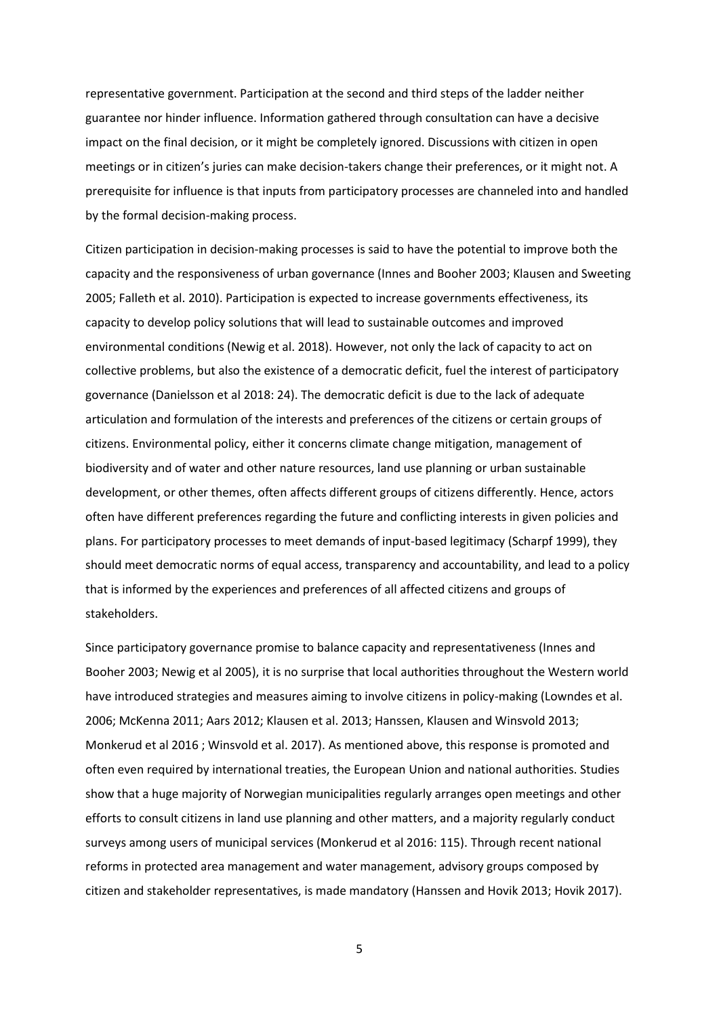representative government. Participation at the second and third steps of the ladder neither guarantee nor hinder influence. Information gathered through consultation can have a decisive impact on the final decision, or it might be completely ignored. Discussions with citizen in open meetings or in citizen's juries can make decision-takers change their preferences, or it might not. A prerequisite for influence is that inputs from participatory processes are channeled into and handled by the formal decision-making process.

Citizen participation in decision-making processes is said to have the potential to improve both the capacity and the responsiveness of urban governance (Innes and Booher 2003; Klausen and Sweeting 2005; Falleth et al. 2010). Participation is expected to increase governments effectiveness, its capacity to develop policy solutions that will lead to sustainable outcomes and improved environmental conditions (Newig et al. 2018). However, not only the lack of capacity to act on collective problems, but also the existence of a democratic deficit, fuel the interest of participatory governance (Danielsson et al 2018: 24). The democratic deficit is due to the lack of adequate articulation and formulation of the interests and preferences of the citizens or certain groups of citizens. Environmental policy, either it concerns climate change mitigation, management of biodiversity and of water and other nature resources, land use planning or urban sustainable development, or other themes, often affects different groups of citizens differently. Hence, actors often have different preferences regarding the future and conflicting interests in given policies and plans. For participatory processes to meet demands of input-based legitimacy (Scharpf 1999), they should meet democratic norms of equal access, transparency and accountability, and lead to a policy that is informed by the experiences and preferences of all affected citizens and groups of stakeholders.

Since participatory governance promise to balance capacity and representativeness (Innes and Booher 2003; Newig et al 2005), it is no surprise that local authorities throughout the Western world have introduced strategies and measures aiming to involve citizens in policy-making (Lowndes et al. 2006; McKenna 2011; Aars 2012; Klausen et al. 2013; Hanssen, Klausen and Winsvold 2013; Monkerud et al 2016 ; Winsvold et al. 2017). As mentioned above, this response is promoted and often even required by international treaties, the European Union and national authorities. Studies show that a huge majority of Norwegian municipalities regularly arranges open meetings and other efforts to consult citizens in land use planning and other matters, and a majority regularly conduct surveys among users of municipal services (Monkerud et al 2016: 115). Through recent national reforms in protected area management and water management, advisory groups composed by citizen and stakeholder representatives, is made mandatory (Hanssen and Hovik 2013; Hovik 2017).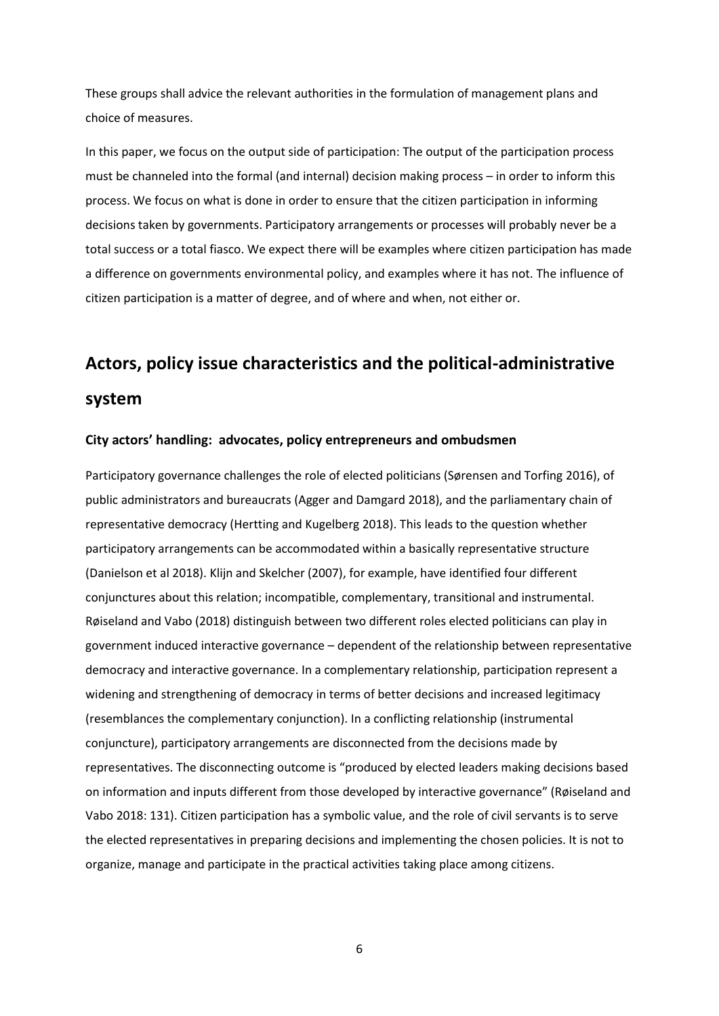These groups shall advice the relevant authorities in the formulation of management plans and choice of measures.

In this paper, we focus on the output side of participation: The output of the participation process must be channeled into the formal (and internal) decision making process – in order to inform this process. We focus on what is done in order to ensure that the citizen participation in informing decisions taken by governments. Participatory arrangements or processes will probably never be a total success or a total fiasco. We expect there will be examples where citizen participation has made a difference on governments environmental policy, and examples where it has not. The influence of citizen participation is a matter of degree, and of where and when, not either or.

# **Actors, policy issue characteristics and the political-administrative system**

#### **City actors' handling: advocates, policy entrepreneurs and ombudsmen**

Participatory governance challenges the role of elected politicians (Sørensen and Torfing 2016), of public administrators and bureaucrats (Agger and Damgard 2018), and the parliamentary chain of representative democracy (Hertting and Kugelberg 2018). This leads to the question whether participatory arrangements can be accommodated within a basically representative structure (Danielson et al 2018). Klijn and Skelcher (2007), for example, have identified four different conjunctures about this relation; incompatible, complementary, transitional and instrumental. Røiseland and Vabo (2018) distinguish between two different roles elected politicians can play in government induced interactive governance – dependent of the relationship between representative democracy and interactive governance. In a complementary relationship, participation represent a widening and strengthening of democracy in terms of better decisions and increased legitimacy (resemblances the complementary conjunction). In a conflicting relationship (instrumental conjuncture), participatory arrangements are disconnected from the decisions made by representatives. The disconnecting outcome is "produced by elected leaders making decisions based on information and inputs different from those developed by interactive governance" (Røiseland and Vabo 2018: 131). Citizen participation has a symbolic value, and the role of civil servants is to serve the elected representatives in preparing decisions and implementing the chosen policies. It is not to organize, manage and participate in the practical activities taking place among citizens.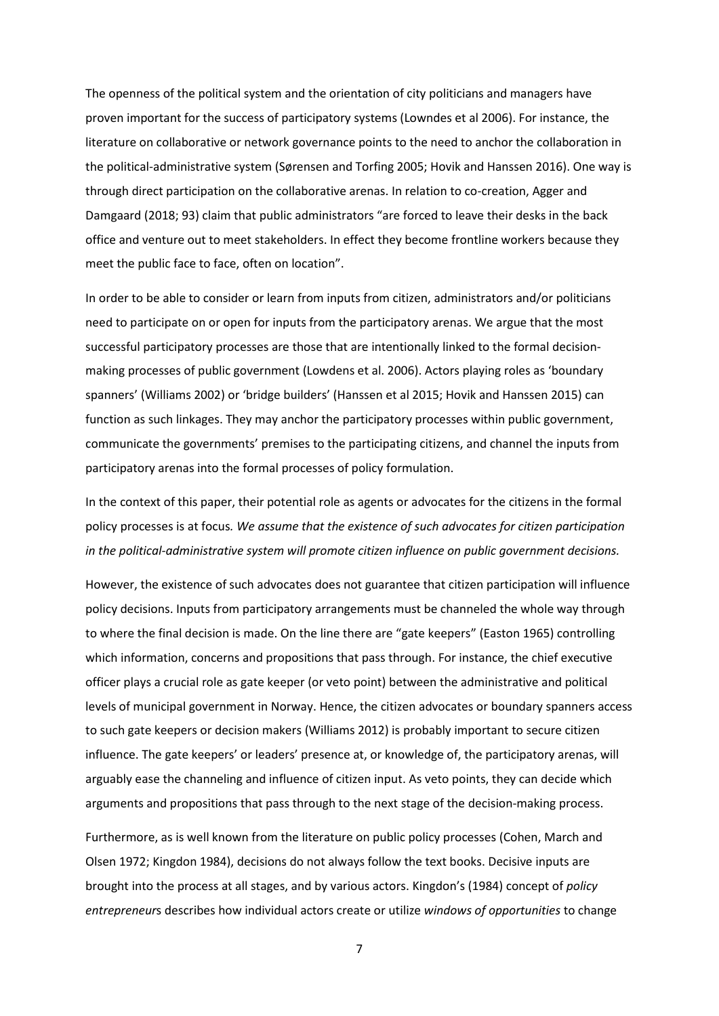The openness of the political system and the orientation of city politicians and managers have proven important for the success of participatory systems (Lowndes et al 2006). For instance, the literature on collaborative or network governance points to the need to anchor the collaboration in the political-administrative system (Sørensen and Torfing 2005; Hovik and Hanssen 2016). One way is through direct participation on the collaborative arenas. In relation to co-creation, Agger and Damgaard (2018; 93) claim that public administrators "are forced to leave their desks in the back office and venture out to meet stakeholders. In effect they become frontline workers because they meet the public face to face, often on location".

In order to be able to consider or learn from inputs from citizen, administrators and/or politicians need to participate on or open for inputs from the participatory arenas. We argue that the most successful participatory processes are those that are intentionally linked to the formal decisionmaking processes of public government (Lowdens et al. 2006). Actors playing roles as 'boundary spanners' (Williams 2002) or 'bridge builders' (Hanssen et al 2015; Hovik and Hanssen 2015) can function as such linkages. They may anchor the participatory processes within public government, communicate the governments' premises to the participating citizens, and channel the inputs from participatory arenas into the formal processes of policy formulation.

In the context of this paper, their potential role as agents or advocates for the citizens in the formal policy processes is at focus*. We assume that the existence of such advocates for citizen participation in the political-administrative system will promote citizen influence on public government decisions.*

However, the existence of such advocates does not guarantee that citizen participation will influence policy decisions. Inputs from participatory arrangements must be channeled the whole way through to where the final decision is made. On the line there are "gate keepers" (Easton 1965) controlling which information, concerns and propositions that pass through. For instance, the chief executive officer plays a crucial role as gate keeper (or veto point) between the administrative and political levels of municipal government in Norway. Hence, the citizen advocates or boundary spanners access to such gate keepers or decision makers (Williams 2012) is probably important to secure citizen influence. The gate keepers' or leaders' presence at, or knowledge of, the participatory arenas, will arguably ease the channeling and influence of citizen input. As veto points, they can decide which arguments and propositions that pass through to the next stage of the decision-making process.

Furthermore, as is well known from the literature on public policy processes (Cohen, March and Olsen 1972; Kingdon 1984), decisions do not always follow the text books. Decisive inputs are brought into the process at all stages, and by various actors. Kingdon's (1984) concept of *policy entrepreneur*s describes how individual actors create or utilize *windows of opportunities* to change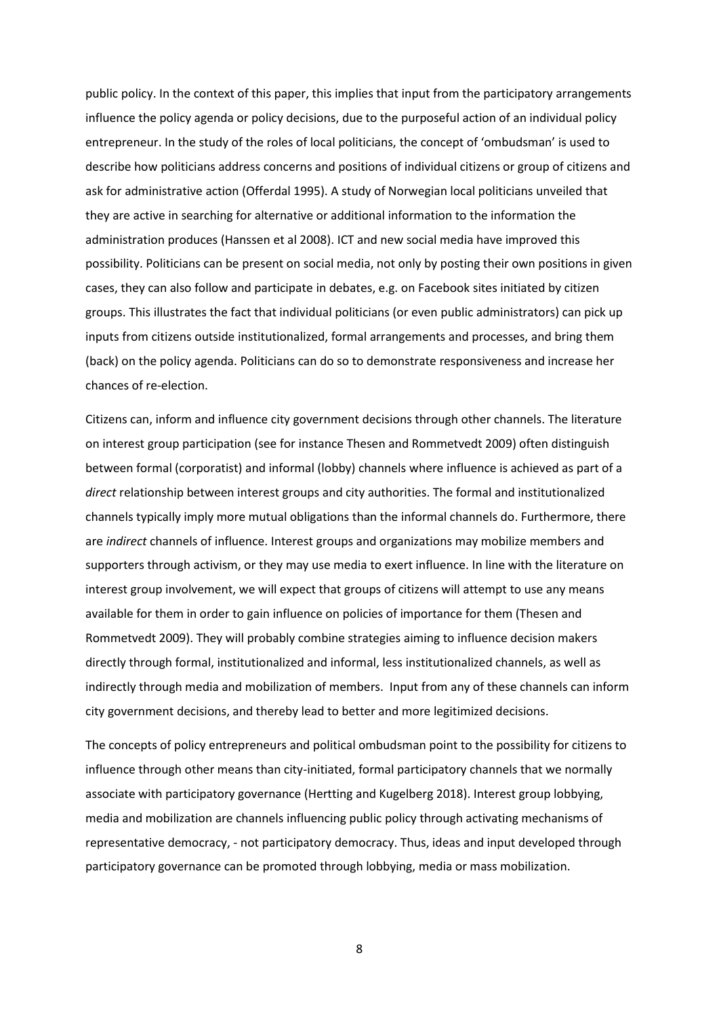public policy. In the context of this paper, this implies that input from the participatory arrangements influence the policy agenda or policy decisions, due to the purposeful action of an individual policy entrepreneur. In the study of the roles of local politicians, the concept of 'ombudsman' is used to describe how politicians address concerns and positions of individual citizens or group of citizens and ask for administrative action (Offerdal 1995). A study of Norwegian local politicians unveiled that they are active in searching for alternative or additional information to the information the administration produces (Hanssen et al 2008). ICT and new social media have improved this possibility. Politicians can be present on social media, not only by posting their own positions in given cases, they can also follow and participate in debates, e.g. on Facebook sites initiated by citizen groups. This illustrates the fact that individual politicians (or even public administrators) can pick up inputs from citizens outside institutionalized, formal arrangements and processes, and bring them (back) on the policy agenda. Politicians can do so to demonstrate responsiveness and increase her chances of re-election.

Citizens can, inform and influence city government decisions through other channels. The literature on interest group participation (see for instance Thesen and Rommetvedt 2009) often distinguish between formal (corporatist) and informal (lobby) channels where influence is achieved as part of a *direct* relationship between interest groups and city authorities. The formal and institutionalized channels typically imply more mutual obligations than the informal channels do. Furthermore, there are *indirect* channels of influence. Interest groups and organizations may mobilize members and supporters through activism, or they may use media to exert influence. In line with the literature on interest group involvement, we will expect that groups of citizens will attempt to use any means available for them in order to gain influence on policies of importance for them (Thesen and Rommetvedt 2009). They will probably combine strategies aiming to influence decision makers directly through formal, institutionalized and informal, less institutionalized channels, as well as indirectly through media and mobilization of members. Input from any of these channels can inform city government decisions, and thereby lead to better and more legitimized decisions.

The concepts of policy entrepreneurs and political ombudsman point to the possibility for citizens to influence through other means than city-initiated, formal participatory channels that we normally associate with participatory governance (Hertting and Kugelberg 2018). Interest group lobbying, media and mobilization are channels influencing public policy through activating mechanisms of representative democracy, - not participatory democracy. Thus, ideas and input developed through participatory governance can be promoted through lobbying, media or mass mobilization.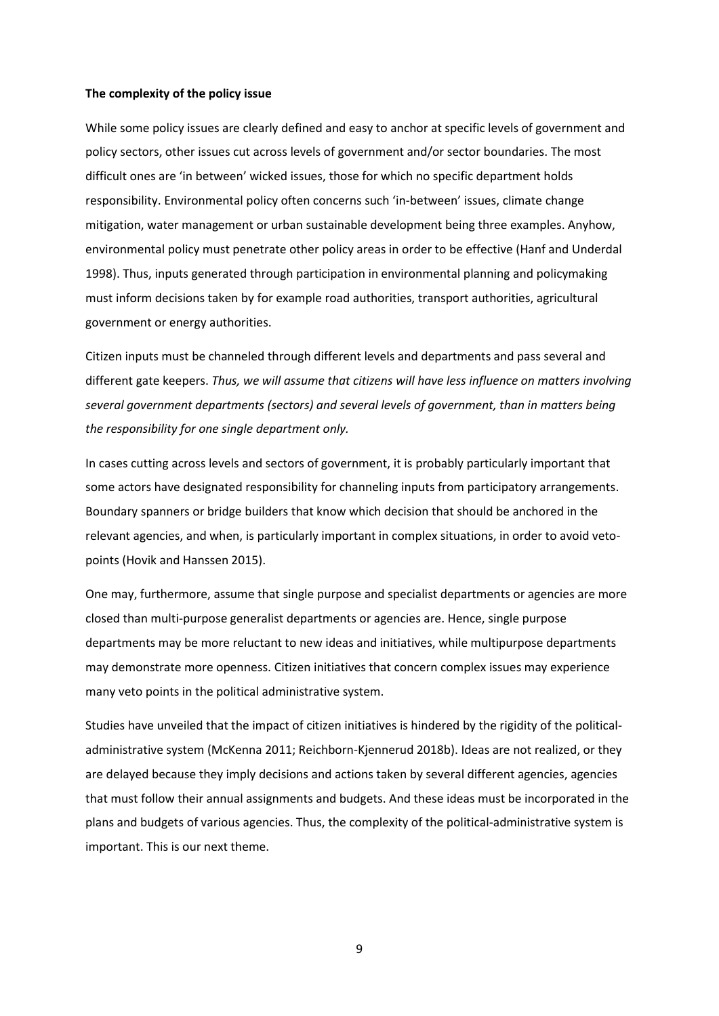#### **The complexity of the policy issue**

While some policy issues are clearly defined and easy to anchor at specific levels of government and policy sectors, other issues cut across levels of government and/or sector boundaries. The most difficult ones are 'in between' wicked issues, those for which no specific department holds responsibility. Environmental policy often concerns such 'in-between' issues, climate change mitigation, water management or urban sustainable development being three examples. Anyhow, environmental policy must penetrate other policy areas in order to be effective (Hanf and Underdal 1998). Thus, inputs generated through participation in environmental planning and policymaking must inform decisions taken by for example road authorities, transport authorities, agricultural government or energy authorities.

Citizen inputs must be channeled through different levels and departments and pass several and different gate keepers. *Thus, we will assume that citizens will have less influence on matters involving several government departments (sectors) and several levels of government, than in matters being the responsibility for one single department only.* 

In cases cutting across levels and sectors of government, it is probably particularly important that some actors have designated responsibility for channeling inputs from participatory arrangements. Boundary spanners or bridge builders that know which decision that should be anchored in the relevant agencies, and when, is particularly important in complex situations, in order to avoid vetopoints (Hovik and Hanssen 2015).

One may, furthermore, assume that single purpose and specialist departments or agencies are more closed than multi-purpose generalist departments or agencies are. Hence, single purpose departments may be more reluctant to new ideas and initiatives, while multipurpose departments may demonstrate more openness. Citizen initiatives that concern complex issues may experience many veto points in the political administrative system.

Studies have unveiled that the impact of citizen initiatives is hindered by the rigidity of the politicaladministrative system (McKenna 2011; Reichborn-Kjennerud 2018b). Ideas are not realized, or they are delayed because they imply decisions and actions taken by several different agencies, agencies that must follow their annual assignments and budgets. And these ideas must be incorporated in the plans and budgets of various agencies. Thus, the complexity of the political-administrative system is important. This is our next theme.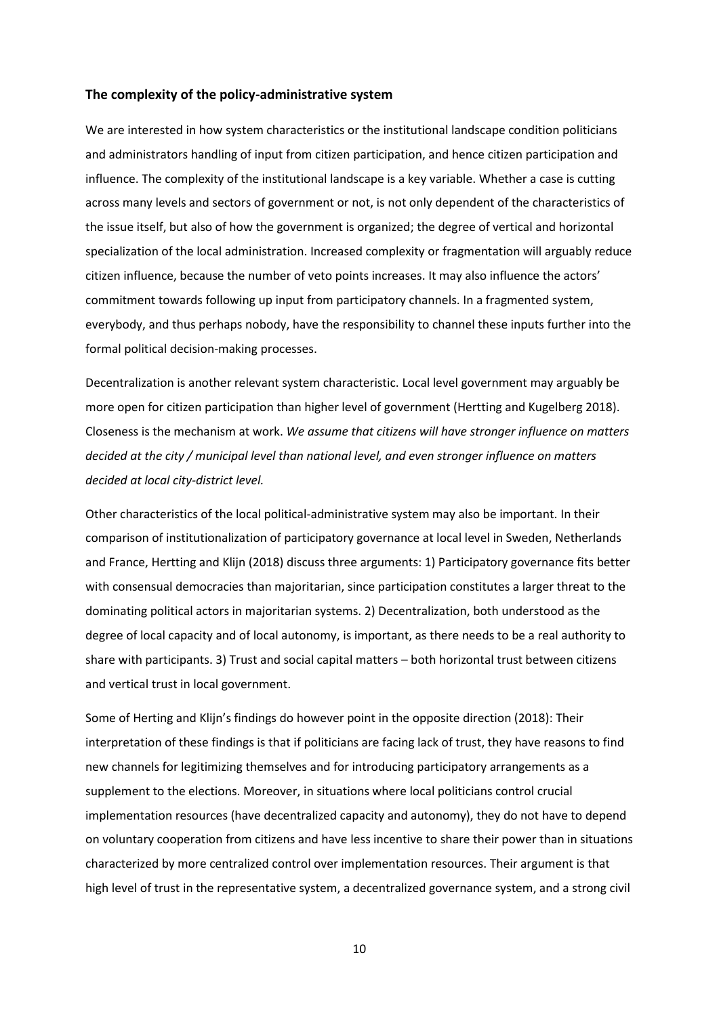#### **The complexity of the policy-administrative system**

We are interested in how system characteristics or the institutional landscape condition politicians and administrators handling of input from citizen participation, and hence citizen participation and influence. The complexity of the institutional landscape is a key variable. Whether a case is cutting across many levels and sectors of government or not, is not only dependent of the characteristics of the issue itself, but also of how the government is organized; the degree of vertical and horizontal specialization of the local administration. Increased complexity or fragmentation will arguably reduce citizen influence, because the number of veto points increases. It may also influence the actors' commitment towards following up input from participatory channels. In a fragmented system, everybody, and thus perhaps nobody, have the responsibility to channel these inputs further into the formal political decision-making processes.

Decentralization is another relevant system characteristic. Local level government may arguably be more open for citizen participation than higher level of government (Hertting and Kugelberg 2018). Closeness is the mechanism at work. *We assume that citizens will have stronger influence on matters decided at the city / municipal level than national level, and even stronger influence on matters decided at local city-district level.* 

Other characteristics of the local political-administrative system may also be important. In their comparison of institutionalization of participatory governance at local level in Sweden, Netherlands and France, Hertting and Klijn (2018) discuss three arguments: 1) Participatory governance fits better with consensual democracies than majoritarian, since participation constitutes a larger threat to the dominating political actors in majoritarian systems. 2) Decentralization, both understood as the degree of local capacity and of local autonomy, is important, as there needs to be a real authority to share with participants. 3) Trust and social capital matters – both horizontal trust between citizens and vertical trust in local government.

Some of Herting and Klijn's findings do however point in the opposite direction (2018): Their interpretation of these findings is that if politicians are facing lack of trust, they have reasons to find new channels for legitimizing themselves and for introducing participatory arrangements as a supplement to the elections. Moreover, in situations where local politicians control crucial implementation resources (have decentralized capacity and autonomy), they do not have to depend on voluntary cooperation from citizens and have less incentive to share their power than in situations characterized by more centralized control over implementation resources. Their argument is that high level of trust in the representative system, a decentralized governance system, and a strong civil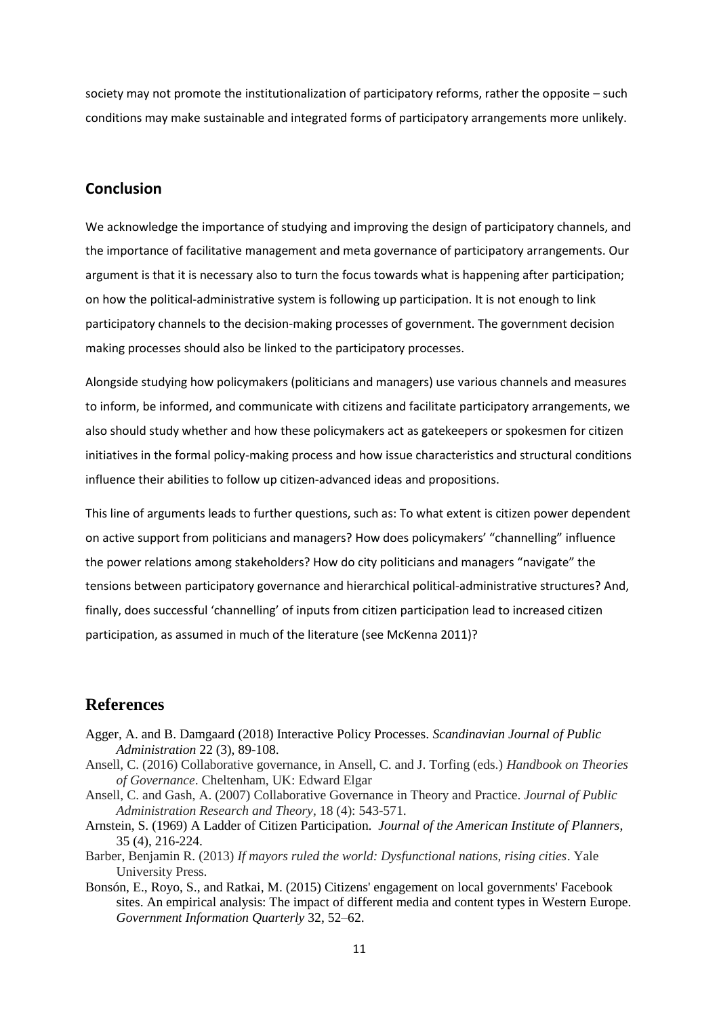society may not promote the institutionalization of participatory reforms, rather the opposite – such conditions may make sustainable and integrated forms of participatory arrangements more unlikely.

## **Conclusion**

We acknowledge the importance of studying and improving the design of participatory channels, and the importance of facilitative management and meta governance of participatory arrangements. Our argument is that it is necessary also to turn the focus towards what is happening after participation; on how the political-administrative system is following up participation. It is not enough to link participatory channels to the decision-making processes of government. The government decision making processes should also be linked to the participatory processes.

Alongside studying how policymakers (politicians and managers) use various channels and measures to inform, be informed, and communicate with citizens and facilitate participatory arrangements, we also should study whether and how these policymakers act as gatekeepers or spokesmen for citizen initiatives in the formal policy-making process and how issue characteristics and structural conditions influence their abilities to follow up citizen-advanced ideas and propositions.

This line of arguments leads to further questions, such as: To what extent is citizen power dependent on active support from politicians and managers? How does policymakers' "channelling" influence the power relations among stakeholders? How do city politicians and managers "navigate" the tensions between participatory governance and hierarchical political-administrative structures? And, finally, does successful 'channelling' of inputs from citizen participation lead to increased citizen participation, as assumed in much of the literature (see McKenna 2011)?

## **References**

- Agger, A. and B. Damgaard (2018) Interactive Policy Processes. *Scandinavian Journal of Public Administration* 22 (3), 89-108.
- Ansell, C. (2016) Collaborative governance, in Ansell, C. and J. Torfing (eds.) *Handbook on Theories of Governance*. Cheltenham, UK: Edward Elgar
- Ansell, C. and Gash, A. (2007) Collaborative Governance in Theory and Practice. *Journal of Public Administration Research and Theory*, 18 (4): 543-571.
- Arnstein, S. (1969) A Ladder of Citizen Participation. *Journal of the American Institute of Planners*, 35 (4), 216-224.
- Barber, Benjamin R. (2013) *If mayors ruled the world: Dysfunctional nations, rising cities*. Yale University Press.
- Bonsón, E., Royo, S., and Ratkai, M. (2015) Citizens' engagement on local governments' Facebook sites. An empirical analysis: The impact of different media and content types in Western Europe. *Government Information Quarterly* 32, 52–62.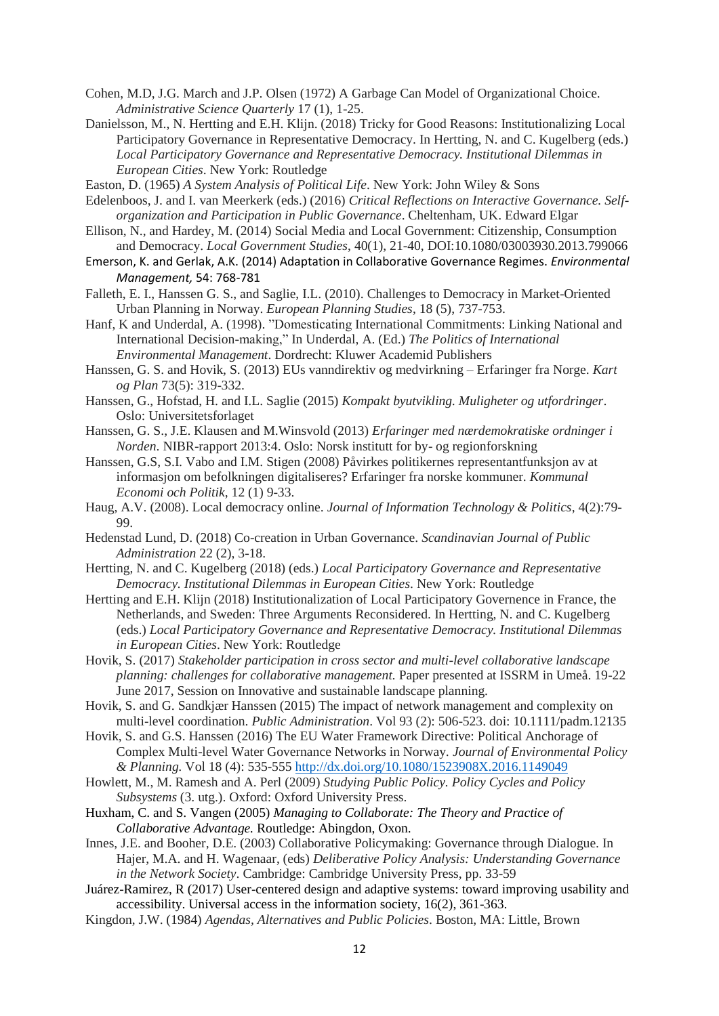- Cohen, M.D, J.G. March and J.P. Olsen (1972) A Garbage Can Model of Organizational Choice. *Administrative Science Quarterly* 17 (1), 1-25.
- Danielsson, M., N. Hertting and E.H. Klijn. (2018) Tricky for Good Reasons: Institutionalizing Local Participatory Governance in Representative Democracy. In Hertting, N. and C. Kugelberg (eds.) *Local Participatory Governance and Representative Democracy. Institutional Dilemmas in European Cities*. New York: Routledge
- Easton, D. (1965) *A System Analysis of Political Life*. New York: John Wiley & Sons
- Edelenboos, J. and I. van Meerkerk (eds.) (2016) *Critical Reflections on Interactive Governance. Selforganization and Participation in Public Governance*. Cheltenham, UK. Edward Elgar
- Ellison, N., and Hardey, M. (2014) Social Media and Local Government: Citizenship, Consumption and Democracy. *Local Government Studies*, 40(1), 21-40, DOI:10.1080/03003930.2013.799066
- Emerson, K. and Gerlak, A.K. (2014) Adaptation in Collaborative Governance Regimes. *Environmental Management,* 54: 768-781
- Falleth, E. I., Hanssen G. S., and Saglie, I.L. (2010). Challenges to Democracy in Market-Oriented Urban Planning in Norway. *European Planning Studies*, 18 (5), 737-753.
- Hanf, K and Underdal, A. (1998). "Domesticating International Commitments: Linking National and International Decision-making," In Underdal, A. (Ed.) *The Politics of International Environmental Management*. Dordrecht: Kluwer Academid Publishers
- Hanssen, G. S. and Hovik, S. (2013) EUs vanndirektiv og medvirkning Erfaringer fra Norge. *Kart og Plan* 73(5): 319-332.
- Hanssen, G., Hofstad, H. and I.L. Saglie (2015) *Kompakt byutvikling. Muligheter og utfordringer*. Oslo: Universitetsforlaget
- Hanssen, G. S., J.E. Klausen and M.Winsvold (2013) *Erfaringer med nærdemokratiske ordninger i Norden*. NIBR-rapport 2013:4. Oslo: Norsk institutt for by- og regionforskning
- Hanssen, G.S, S.I. Vabo and I.M. Stigen (2008) Påvirkes politikernes representantfunksjon av at informasjon om befolkningen digitaliseres? Erfaringer fra norske kommuner. *Kommunal Economi och Politik*, 12 (1) 9-33.
- Haug, A.V. (2008). Local democracy online. *Journal of Information Technology & Politics*, 4(2):79- 99.
- Hedenstad Lund, D. (2018) Co-creation in Urban Governance. *Scandinavian Journal of Public Administration* 22 (2), 3-18.
- Hertting, N. and C. Kugelberg (2018) (eds.) *Local Participatory Governance and Representative Democracy. Institutional Dilemmas in European Cities*. New York: Routledge
- Hertting and E.H. Klijn (2018) Institutionalization of Local Participatory Governence in France, the Netherlands, and Sweden: Three Arguments Reconsidered. In Hertting, N. and C. Kugelberg (eds.) *Local Participatory Governance and Representative Democracy. Institutional Dilemmas in European Cities*. New York: Routledge
- Hovik, S. (2017) *Stakeholder participation in cross sector and multi-level collaborative landscape planning: challenges for collaborative management.* Paper presented at ISSRM in Umeå. 19-22 June 2017, Session on Innovative and sustainable landscape planning.
- Hovik, S. and G. Sandkjær Hanssen (2015) The impact of network management and complexity on multi-level coordination. *Public Administration*. Vol 93 (2): 506-523. doi: 10.1111/padm.12135
- Hovik, S. and G.S. Hanssen (2016) The EU Water Framework Directive: Political Anchorage of Complex Multi-level Water Governance Networks in Norway. *Journal of Environmental Policy & Planning.* Vol 18 (4): 535-555 <http://dx.doi.org/10.1080/1523908X.2016.1149049>
- Howlett, M., M. Ramesh and A. Perl (2009) *Studying Public Policy. Policy Cycles and Policy Subsystems* (3. utg.). Oxford: Oxford University Press.
- Huxham, C. and S. Vangen (2005) *Managing to Collaborate: The Theory and Practice of Collaborative Advantage.* Routledge: Abingdon, Oxon.
- Innes, J.E. and Booher, D.E. (2003) Collaborative Policymaking: Governance through Dialogue. In Hajer, M.A. and H. Wagenaar, (eds) *Deliberative Policy Analysis: Understanding Governance in the Network Society*. Cambridge: Cambridge University Press, pp. 33-59
- Juárez-Ramirez, R (2017) User-centered design and adaptive systems: toward improving usability and accessibility. Universal access in the information society, 16(2), 361-363.
- Kingdon, J.W. (1984) *Agendas, Alternatives and Public Policies*. Boston, MA: Little, Brown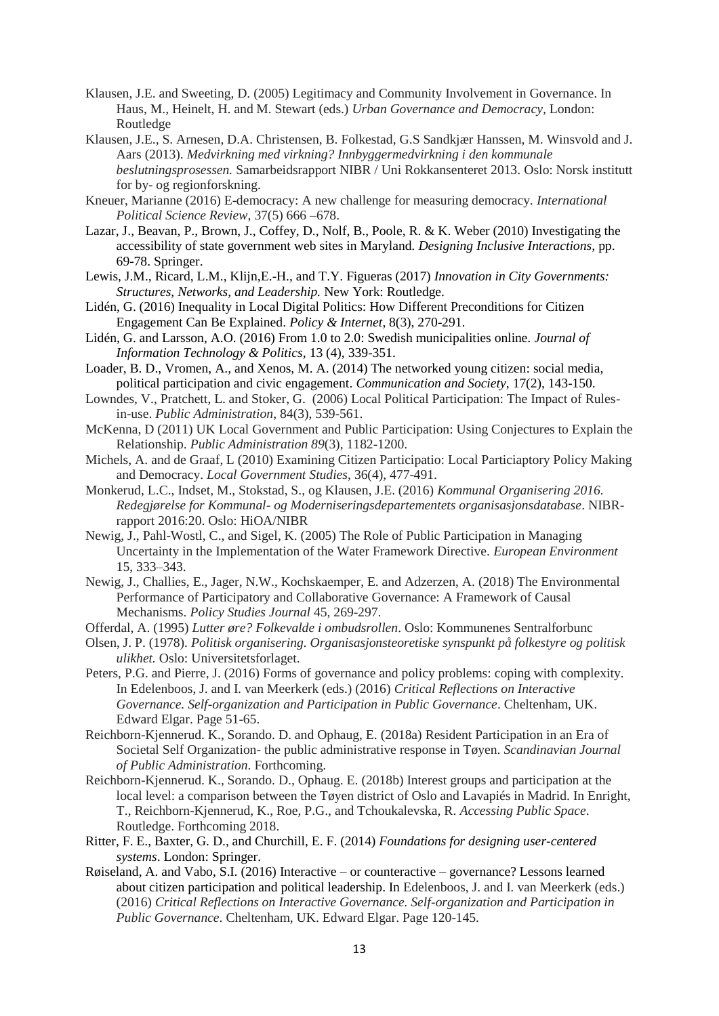- Klausen, J.E. and Sweeting, D. (2005) Legitimacy and Community Involvement in Governance. In Haus, M., Heinelt, H. and M. Stewart (eds.) *Urban Governance and Democracy,* London: Routledge
- Klausen, J.E., S. Arnesen, D.A. Christensen, B. Folkestad, G.S Sandkjær Hanssen, M. Winsvold and J. Aars (2013). *Medvirkning med virkning? Innbyggermedvirkning i den kommunale beslutningsprosessen.* Samarbeidsrapport NIBR / Uni Rokkansenteret 2013. Oslo: Norsk institutt for by- og regionforskning.
- Kneuer, Marianne (2016) E-democracy: A new challenge for measuring democracy. *International Political Science Review*, 37(5) 666 –678.
- Lazar, J., Beavan, P., Brown, J., Coffey, D., Nolf, B., Poole, R. & K. Weber (2010) Investigating the accessibility of state government web sites in Maryland. *Designing Inclusive Interactions,* pp. 69-78. Springer.
- Lewis, J.M., Ricard, L.M., Klijn,E.-H., and T.Y. Figueras (2017) *Innovation in City Governments: Structures, Networks, and Leadership.* New York: Routledge.
- Lidén, G. (2016) Inequality in Local Digital Politics: How Different Preconditions for Citizen Engagement Can Be Explained. *Policy & Internet*, 8(3), 270-291.
- Lidén, G. and Larsson, A.O. (2016) From 1.0 to 2.0: Swedish municipalities online. *Journal of Information Technology & Politics,* 13 (4), 339-351.
- Loader, B. D., Vromen, A., and Xenos, M. A. (2014) The networked young citizen: social media, political participation and civic engagement. *Communication and Society*, 17(2), 143-150.
- Lowndes, V., Pratchett, L. and Stoker, G. (2006) Local Political Participation: The Impact of Rulesin-use. *Public Administration*, 84(3), 539-561.
- McKenna, D (2011) UK Local Government and Public Participation: Using Conjectures to Explain the Relationship. *Public Administration 89*(3), 1182-1200.
- Michels, A. and de Graaf, L (2010) Examining Citizen Participatio: Local Particiaptory Policy Making and Democracy. *Local Government Studies*, 36(4), 477-491.
- Monkerud, L.C., Indset, M., Stokstad, S., og Klausen, J.E. (2016) *Kommunal Organisering 2016. Redegjørelse for Kommunal- og Moderniseringsdepartementets organisasjonsdatabase*. NIBRrapport 2016:20. Oslo: HiOA/NIBR
- Newig, J., Pahl-Wostl, C., and Sigel, K. (2005) The Role of Public Participation in Managing Uncertainty in the Implementation of the Water Framework Directive. *European Environment* 15, 333–343.
- Newig, J., Challies, E., Jager, N.W., Kochskaemper, E. and Adzerzen, A. (2018) The Environmental Performance of Participatory and Collaborative Governance: A Framework of Causal Mechanisms. *Policy Studies Journal* 45, 269-297.
- Offerdal, A. (1995) *Lutter øre? Folkevalde i ombudsrollen*. Oslo: Kommunenes Sentralforbunc
- Olsen, J. P. (1978). *Politisk organisering. Organisasjonsteoretiske synspunkt på folkestyre og politisk ulikhet.* Oslo: Universitetsforlaget.
- Peters, P.G. and Pierre, J. (2016) Forms of governance and policy problems: coping with complexity. In Edelenboos, J. and I. van Meerkerk (eds.) (2016) *Critical Reflections on Interactive Governance. Self-organization and Participation in Public Governance*. Cheltenham, UK. Edward Elgar. Page 51-65.
- Reichborn-Kjennerud. K., Sorando. D. and Ophaug, E. (2018a) Resident Participation in an Era of Societal Self Organization- the public administrative response in Tøyen. *Scandinavian Journal of Public Administration*. Forthcoming.
- Reichborn-Kjennerud. K., Sorando. D., Ophaug. E. (2018b) Interest groups and participation at the local level: a comparison between the Tøyen district of Oslo and Lavapiés in Madrid. In Enright, T., Reichborn-Kjennerud, K., Roe, P.G., and Tchoukalevska, R. *Accessing Public Space*. Routledge. Forthcoming 2018.
- Ritter, F. E., Baxter, G. D., and Churchill, E. F. (2014) *Foundations for designing user-centered systems*. London: Springer.
- Røiseland, A. and Vabo, S.I. (2016) Interactive or counteractive governance? Lessons learned about citizen participation and political leadership. In Edelenboos, J. and I. van Meerkerk (eds.) (2016) *Critical Reflections on Interactive Governance. Self-organization and Participation in Public Governance*. Cheltenham, UK. Edward Elgar. Page 120-145.